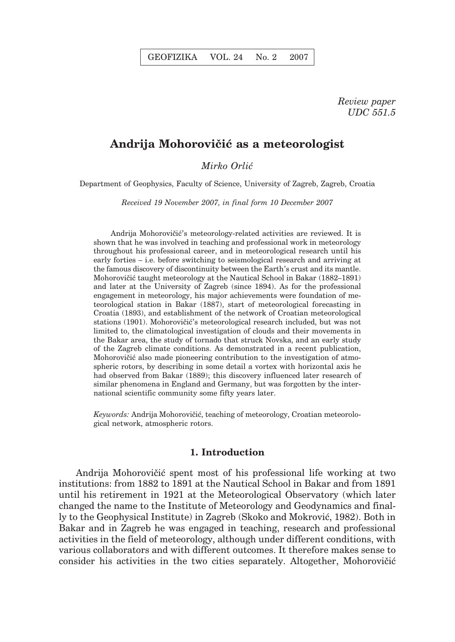# Andrija Mohorovičić as a meteorologist

*Mirko Orli}*

Department of Geophysics, Faculty of Science, University of Zagreb, Zagreb, Croatia

*Received 19 November 2007, in final form 10 December 2007*

Andrija Mohorovičić's meteorology-related activities are reviewed. It is shown that he was involved in teaching and professional work in meteorology throughout his professional career, and in meteorological research until his early forties – i.e. before switching to seismological research and arriving at the famous discovery of discontinuity between the Earth's crust and its mantle. Mohorovičić taught meteorology at the Nautical School in Bakar (1882–1891) and later at the University of Zagreb (since 1894). As for the professional engagement in meteorology, his major achievements were foundation of meteorological station in Bakar (1887), start of meteorological forecasting in Croatia (1893), and establishment of the network of Croatian meteorological stations (1901). Mohorovičić's meteorological research included, but was not limited to, the climatological investigation of clouds and their movements in the Bakar area, the study of tornado that struck Novska, and an early study of the Zagreb climate conditions. As demonstrated in a recent publication, Mohorovičić also made pioneering contribution to the investigation of atmospheric rotors, by describing in some detail a vortex with horizontal axis he had observed from Bakar (1889); this discovery influenced later research of similar phenomena in England and Germany, but was forgotten by the international scientific community some fifty years later.

Keywords: Andrija Mohorovičić, teaching of meteorology, Croatian meteorological network, atmospheric rotors.

## **1. Introduction**

Andrija Mohorovičić spent most of his professional life working at two institutions: from 1882 to 1891 at the Nautical School in Bakar and from 1891 until his retirement in 1921 at the Meteorological Observatory (which later changed the name to the Institute of Meteorology and Geodynamics and finally to the Geophysical Institute) in Zagreb (Skoko and Mokrović, 1982). Both in Bakar and in Zagreb he was engaged in teaching, research and professional activities in the field of meteorology, although under different conditions, with various collaborators and with different outcomes. It therefore makes sense to consider his activities in the two cities separately. Altogether, Mohorovičić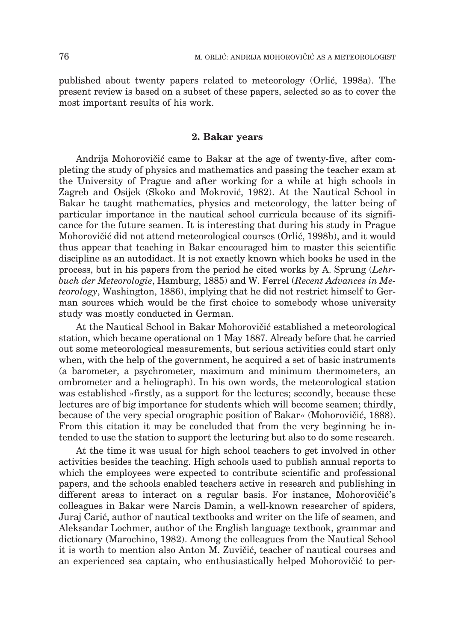published about twenty papers related to meteorology (Orlić, 1998a). The present review is based on a subset of these papers, selected so as to cover the most important results of his work.

## **2. Bakar years**

Andrija Mohorovičić came to Bakar at the age of twenty-five, after completing the study of physics and mathematics and passing the teacher exam at the University of Prague and after working for a while at high schools in Zagreb and Osijek (Skoko and Mokrović, 1982). At the Nautical School in Bakar he taught mathematics, physics and meteorology, the latter being of particular importance in the nautical school curricula because of its significance for the future seamen. It is interesting that during his study in Prague Mohorovičić did not attend meteorological courses (Orlić, 1998b), and it would thus appear that teaching in Bakar encouraged him to master this scientific discipline as an autodidact. It is not exactly known which books he used in the process, but in his papers from the period he cited works by A. Sprung (*Lehrbuch der Meteorologie*, Hamburg, 1885) and W. Ferrel (*Recent Advances in Meteorology*, Washington, 1886), implying that he did not restrict himself to German sources which would be the first choice to somebody whose university study was mostly conducted in German.

At the Nautical School in Bakar Mohorovičić established a meteorological station, which became operational on 1 May 1887. Already before that he carried out some meteorological measurements, but serious activities could start only when, with the help of the government, he acquired a set of basic instruments (a barometer, a psychrometer, maximum and minimum thermometers, an ombrometer and a heliograph). In his own words, the meteorological station was established »firstly, as a support for the lectures; secondly, because these lectures are of big importance for students which will become seamen; thirdly, because of the very special orographic position of Bakar« (Mohorovičić, 1888). From this citation it may be concluded that from the very beginning he intended to use the station to support the lecturing but also to do some research.

At the time it was usual for high school teachers to get involved in other activities besides the teaching. High schools used to publish annual reports to which the employees were expected to contribute scientific and professional papers, and the schools enabled teachers active in research and publishing in different areas to interact on a regular basis. For instance, Mohorovičić's colleagues in Bakar were Narcis Damin, a well-known researcher of spiders, Juraj Carić, author of nautical textbooks and writer on the life of seamen, and Aleksandar Lochmer, author of the English language textbook, grammar and dictionary (Marochino, 1982). Among the colleagues from the Nautical School it is worth to mention also Anton M. Zuvičić, teacher of nautical courses and an experienced sea captain, who enthusiastically helped Mohorovičić to per-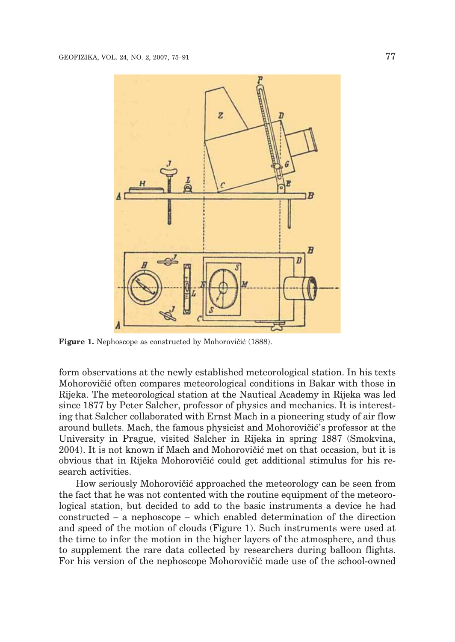

Figure 1. Nephoscope as constructed by Mohorovičić (1888).

form observations at the newly established meteorological station. In his texts Mohorovičić often compares meteorological conditions in Bakar with those in Rijeka. The meteorological station at the Nautical Academy in Rijeka was led since 1877 by Peter Salcher, professor of physics and mechanics. It is interesting that Salcher collaborated with Ernst Mach in a pioneering study of air flow around bullets. Mach, the famous physicist and Mohorovičić's professor at the University in Prague, visited Salcher in Rijeka in spring 1887 (Smokvina,  $2004$ ). It is not known if Mach and Mohorovičić met on that occasion, but it is obvious that in Rijeka Mohorovičić could get additional stimulus for his research activities.

How seriously Mohorovičić approached the meteorology can be seen from the fact that he was not contented with the routine equipment of the meteorological station, but decided to add to the basic instruments a device he had constructed – a nephoscope – which enabled determination of the direction and speed of the motion of clouds (Figure 1). Such instruments were used at the time to infer the motion in the higher layers of the atmosphere, and thus to supplement the rare data collected by researchers during balloon flights. For his version of the nephoscope Mohorovičić made use of the school-owned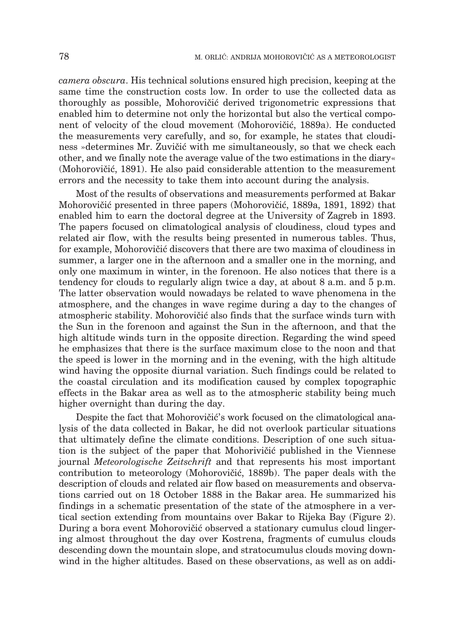*camera obscura*. His technical solutions ensured high precision, keeping at the same time the construction costs low. In order to use the collected data as thoroughly as possible, Mohorovičić derived trigonometric expressions that enabled him to determine not only the horizontal but also the vertical component of velocity of the cloud movement (Mohorovičić, 1889a). He conducted the measurements very carefully, and so, for example, he states that cloudiness »determines Mr. Zuvičić with me simultaneously, so that we check each other, and we finally note the average value of the two estimations in the diary« (Mohorovičić, 1891). He also paid considerable attention to the measurement errors and the necessity to take them into account during the analysis.

Most of the results of observations and measurements performed at Bakar Mohorovičić presented in three papers (Mohorovičić, 1889a, 1891, 1892) that enabled him to earn the doctoral degree at the University of Zagreb in 1893. The papers focused on climatological analysis of cloudiness, cloud types and related air flow, with the results being presented in numerous tables. Thus, for example, Mohorovičić discovers that there are two maxima of cloudiness in summer, a larger one in the afternoon and a smaller one in the morning, and only one maximum in winter, in the forenoon. He also notices that there is a tendency for clouds to regularly align twice a day, at about 8 a.m. and 5 p.m. The latter observation would nowadays be related to wave phenomena in the atmosphere, and the changes in wave regime during a day to the changes of atmospheric stability. Mohorovičić also finds that the surface winds turn with the Sun in the forenoon and against the Sun in the afternoon, and that the high altitude winds turn in the opposite direction. Regarding the wind speed he emphasizes that there is the surface maximum close to the noon and that the speed is lower in the morning and in the evening, with the high altitude wind having the opposite diurnal variation. Such findings could be related to the coastal circulation and its modification caused by complex topographic effects in the Bakar area as well as to the atmospheric stability being much higher overnight than during the day.

Despite the fact that Mohorovičić's work focused on the climatological analysis of the data collected in Bakar, he did not overlook particular situations that ultimately define the climate conditions. Description of one such situation is the subject of the paper that Mohorivičić published in the Viennese journal *Meteorologische Zeitschrift* and that represents his most important contribution to meteorology (Mohorovičić, 1889b). The paper deals with the description of clouds and related air flow based on measurements and observations carried out on 18 October 1888 in the Bakar area. He summarized his findings in a schematic presentation of the state of the atmosphere in a vertical section extending from mountains over Bakar to Rijeka Bay (Figure 2). During a bora event Mohorovičić observed a stationary cumulus cloud lingering almost throughout the day over Kostrena, fragments of cumulus clouds descending down the mountain slope, and stratocumulus clouds moving downwind in the higher altitudes. Based on these observations, as well as on addi-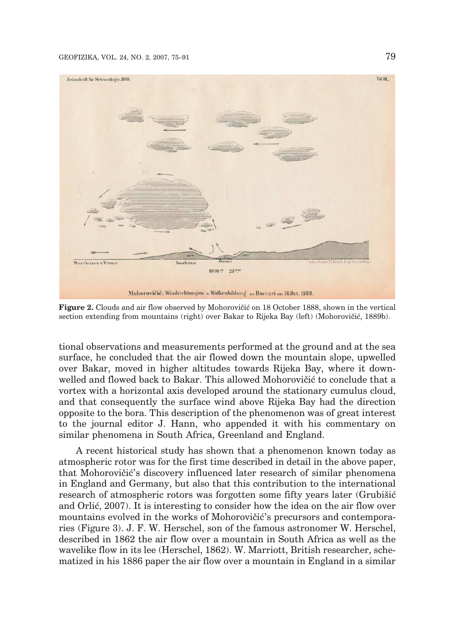#### GEOFIZIKA, VOL. 24, NO. 2, 2007, 75–91 79



**Figure 2.** Clouds and air flow observed by Mohorovičić on 18 October 1888, shown in the vertical section extending from mountains (right) over Bakar to Rijeka Bay (left) (Mohorovičić, 1889b).

tional observations and measurements performed at the ground and at the sea surface, he concluded that the air flowed down the mountain slope, upwelled over Bakar, moved in higher altitudes towards Rijeka Bay, where it downwelled and flowed back to Bakar. This allowed Mohorovičić to conclude that a vortex with a horizontal axis developed around the stationary cumulus cloud, and that consequently the surface wind above Rijeka Bay had the direction opposite to the bora. This description of the phenomenon was of great interest to the journal editor J. Hann, who appended it with his commentary on similar phenomena in South Africa, Greenland and England.

A recent historical study has shown that a phenomenon known today as atmospheric rotor was for the first time described in detail in the above paper, that Mohorovičić's discovery influenced later research of similar phenomena in England and Germany, but also that this contribution to the international research of atmospheric rotors was forgotten some fifty years later (Grubišić and Orlić, 2007). It is interesting to consider how the idea on the air flow over mountains evolved in the works of Mohorovičić's precursors and contemporaries (Figure 3). J. F. W. Herschel, son of the famous astronomer W. Herschel, described in 1862 the air flow over a mountain in South Africa as well as the wavelike flow in its lee (Herschel, 1862). W. Marriott, British researcher, schematized in his 1886 paper the air flow over a mountain in England in a similar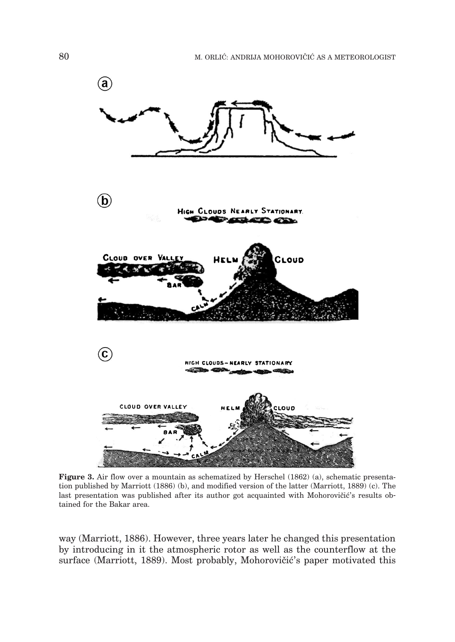

**Figure 3.** Air flow over a mountain as schematized by Herschel (1862) (a), schematic presentation published by Marriott (1886) (b), and modified version of the latter (Marriott, 1889) (c). The last presentation was published after its author got acquainted with Mohorovičić's results obtained for the Bakar area.

way (Marriott, 1886). However, three years later he changed this presentation by introducing in it the atmospheric rotor as well as the counterflow at the surface (Marriott, 1889). Most probably, Mohorovičić's paper motivated this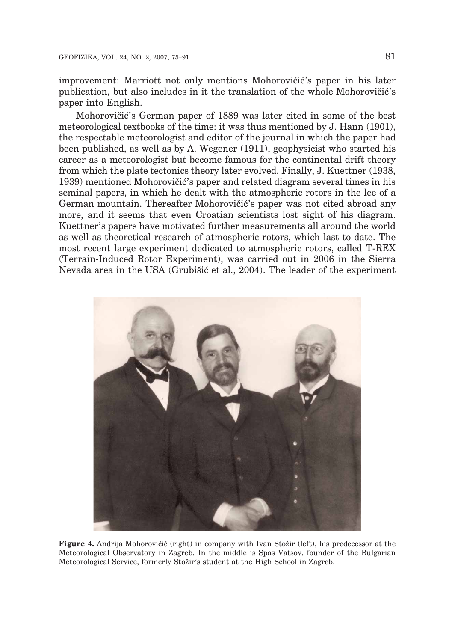improvement: Marriott not only mentions Mohorovičić's paper in his later publication, but also includes in it the translation of the whole Mohorovičić's paper into English.

Mohorovičić's German paper of 1889 was later cited in some of the best meteorological textbooks of the time: it was thus mentioned by J. Hann (1901), the respectable meteorologist and editor of the journal in which the paper had been published, as well as by A. Wegener (1911), geophysicist who started his career as a meteorologist but become famous for the continental drift theory from which the plate tectonics theory later evolved. Finally, J. Kuettner (1938, 1939) mentioned Mohorovičić's paper and related diagram several times in his seminal papers, in which he dealt with the atmospheric rotors in the lee of a German mountain. Thereafter Mohorovičić's paper was not cited abroad any more, and it seems that even Croatian scientists lost sight of his diagram. Kuettner's papers have motivated further measurements all around the world as well as theoretical research of atmospheric rotors, which last to date. The most recent large experiment dedicated to atmospheric rotors, called T-REX (Terrain-Induced Rotor Experiment), was carried out in 2006 in the Sierra Nevada area in the USA (Grubišić et al., 2004). The leader of the experiment



**Figure 4.** Andrija Mohorovičić (right) in company with Ivan Stožir (left), his predecessor at the Meteorological Observatory in Zagreb. In the middle is Spas Vatsov, founder of the Bulgarian Meteorological Service, formerly Stožir's student at the High School in Zagreb.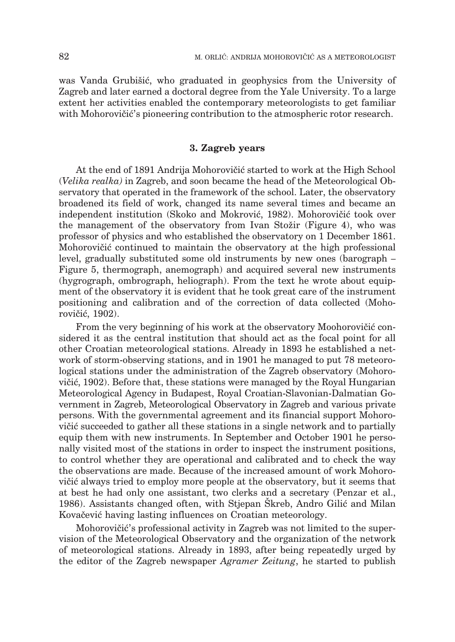was Vanda Grubišić, who graduated in geophysics from the University of Zagreb and later earned a doctoral degree from the Yale University. To a large extent her activities enabled the contemporary meteorologists to get familiar with Mohorovičić's pioneering contribution to the atmospheric rotor research.

# **3. Zagreb years**

At the end of 1891 Andrija Mohorovičić started to work at the High School (*Velika realka)* in Zagreb, and soon became the head of the Meteorological Observatory that operated in the framework of the school. Later, the observatory broadened its field of work, changed its name several times and became an independent institution (Skoko and Mokrović, 1982). Mohorovičić took over the management of the observatory from Ivan Stožir (Figure 4), who was professor of physics and who established the observatory on 1 December 1861. Mohorovičić continued to maintain the observatory at the high professional level, gradually substituted some old instruments by new ones (barograph – Figure 5, thermograph, anemograph) and acquired several new instruments (hygrograph, ombrograph, heliograph). From the text he wrote about equipment of the observatory it is evident that he took great care of the instrument positioning and calibration and of the correction of data collected (Mohorovičić, 1902).

From the very beginning of his work at the observatory Moohorovičić considered it as the central institution that should act as the focal point for all other Croatian meteorological stations. Already in 1893 he established a network of storm-observing stations, and in 1901 he managed to put 78 meteorological stations under the administration of the Zagreb observatory (Mohorovičić, 1902). Before that, these stations were managed by the Royal Hungarian Meteorological Agency in Budapest, Royal Croatian-Slavonian-Dalmatian Government in Zagreb, Meteorological Observatory in Zagreb and various private persons. With the governmental agreement and its financial support Mohorovičić succeeded to gather all these stations in a single network and to partially equip them with new instruments. In September and October 1901 he personally visited most of the stations in order to inspect the instrument positions, to control whether they are operational and calibrated and to check the way the observations are made. Because of the increased amount of work Mohorovičić always tried to employ more people at the observatory, but it seems that at best he had only one assistant, two clerks and a secretary (Penzar et al., 1986). Assistants changed often, with Stjepan Skreb, Andro Gilić and Milan Kovačević having lasting influences on Croatian meteorology.

Mohorovičić's professional activity in Zagreb was not limited to the supervision of the Meteorological Observatory and the organization of the network of meteorological stations. Already in 1893, after being repeatedly urged by the editor of the Zagreb newspaper *Agramer Zeitung*, he started to publish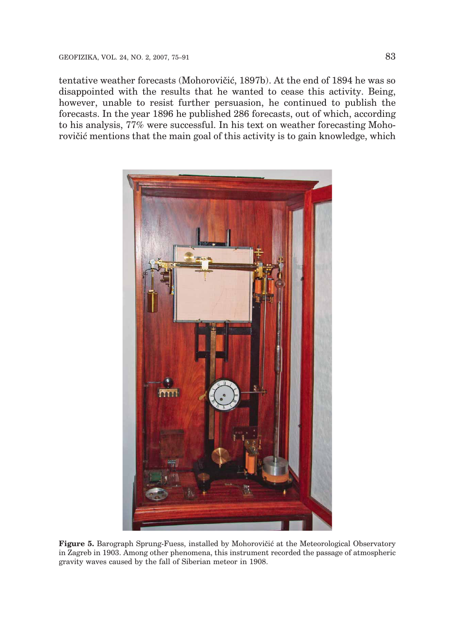tentative weather forecasts (Mohorovičić, 1897b). At the end of 1894 he was so disappointed with the results that he wanted to cease this activity. Being, however, unable to resist further persuasion, he continued to publish the forecasts. In the year 1896 he published 286 forecasts, out of which, according to his analysis, 77% were successful. In his text on weather forecasting Mohorovičić mentions that the main goal of this activity is to gain knowledge, which



**Figure 5.** Barograph Sprung-Fuess, installed by Mohorovičić at the Meteorological Observatory in Zagreb in 1903. Among other phenomena, this instrument recorded the passage of atmospheric gravity waves caused by the fall of Siberian meteor in 1908.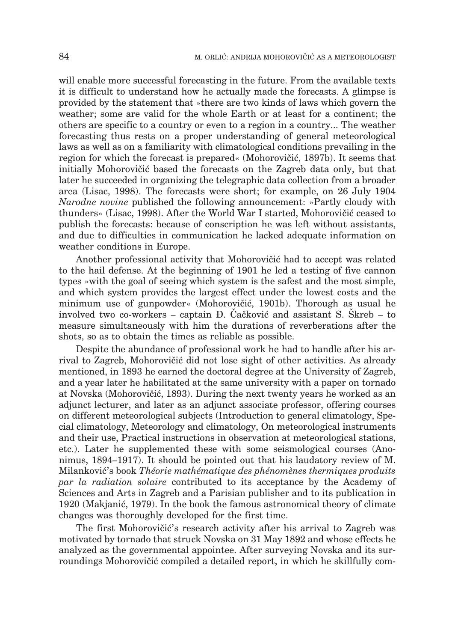will enable more successful forecasting in the future. From the available texts it is difficult to understand how he actually made the forecasts. A glimpse is provided by the statement that »there are two kinds of laws which govern the weather; some are valid for the whole Earth or at least for a continent; the others are specific to a country or even to a region in a country... The weather forecasting thus rests on a proper understanding of general meteorological laws as well as on a familiarity with climatological conditions prevailing in the region for which the forecast is prepared« (Mohorovičić, 1897b). It seems that initially Mohorovičić based the forecasts on the Zagreb data only, but that later he succeeded in organizing the telegraphic data collection from a broader area (Lisac, 1998). The forecasts were short; for example, on 26 July 1904 *Narodne novine* published the following announcement: »Partly cloudy with thunders« (Lisac, 1998). After the World War I started, Mohorovičić ceased to publish the forecasts: because of conscription he was left without assistants, and due to difficulties in communication he lacked adequate information on weather conditions in Europe.

Another professional activity that Mohorovičić had to accept was related to the hail defense. At the beginning of 1901 he led a testing of five cannon types »with the goal of seeing which system is the safest and the most simple, and which system provides the largest effect under the lowest costs and the minimum use of gunpowder« (Mohorovičić, 1901b). Thorough as usual he involved two co-workers – captain  $\overline{D}$ . Cačković and assistant S. Skreb – to measure simultaneously with him the durations of reverberations after the shots, so as to obtain the times as reliable as possible.

Despite the abundance of professional work he had to handle after his arrival to Zagreb, Mohorovičić did not lose sight of other activities. As already mentioned, in 1893 he earned the doctoral degree at the University of Zagreb, and a year later he habilitated at the same university with a paper on tornado at Novska (Mohorovičić, 1893). During the next twenty years he worked as an adjunct lecturer, and later as an adjunct associate professor, offering courses on different meteorological subjects (Introduction to general climatology, Special climatology, Meteorology and climatology, On meteorological instruments and their use, Practical instructions in observation at meteorological stations, etc.). Later he supplemented these with some seismological courses (Anonimus, 1894–1917). It should be pointed out that his laudatory review of M. Milankovi}'s book *Théorie mathématique des phénomènes thermiques produits par la radiation solaire* contributed to its acceptance by the Academy of Sciences and Arts in Zagreb and a Parisian publisher and to its publication in 1920 (Makjanić, 1979). In the book the famous astronomical theory of climate changes was thoroughly developed for the first time.

The first Mohorovičić's research activity after his arrival to Zagreb was motivated by tornado that struck Novska on 31 May 1892 and whose effects he analyzed as the governmental appointee. After surveying Novska and its surroundings Mohorovičić compiled a detailed report, in which he skillfully com-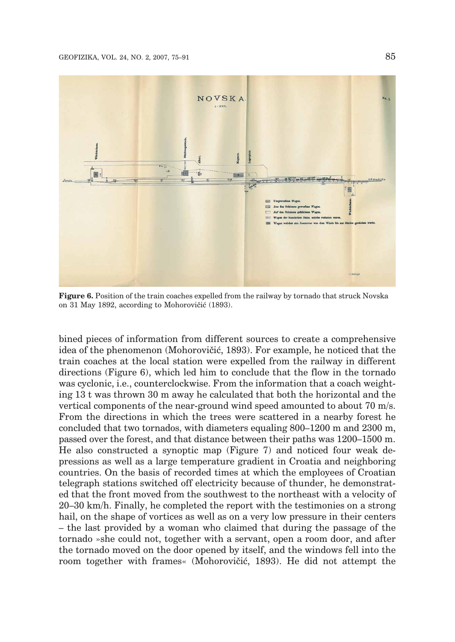

**Figure 6.** Position of the train coaches expelled from the railway by tornado that struck Novska on 31 May 1892, according to Mohorovičić (1893).

bined pieces of information from different sources to create a comprehensive idea of the phenomenon (Mohorovičić, 1893). For example, he noticed that the train coaches at the local station were expelled from the railway in different directions (Figure 6), which led him to conclude that the flow in the tornado was cyclonic, i.e., counterclockwise. From the information that a coach weighting 13 t was thrown 30 m away he calculated that both the horizontal and the vertical components of the near-ground wind speed amounted to about 70 m/s. From the directions in which the trees were scattered in a nearby forest he concluded that two tornados, with diameters equaling 800–1200 m and 2300 m, passed over the forest, and that distance between their paths was 1200–1500 m. He also constructed a synoptic map (Figure 7) and noticed four weak depressions as well as a large temperature gradient in Croatia and neighboring countries. On the basis of recorded times at which the employees of Croatian telegraph stations switched off electricity because of thunder, he demonstrated that the front moved from the southwest to the northeast with a velocity of 20–30 km/h. Finally, he completed the report with the testimonies on a strong hail, on the shape of vortices as well as on a very low pressure in their centers – the last provided by a woman who claimed that during the passage of the tornado »she could not, together with a servant, open a room door, and after the tornado moved on the door opened by itself, and the windows fell into the room together with frames« (Mohorovičić, 1893). He did not attempt the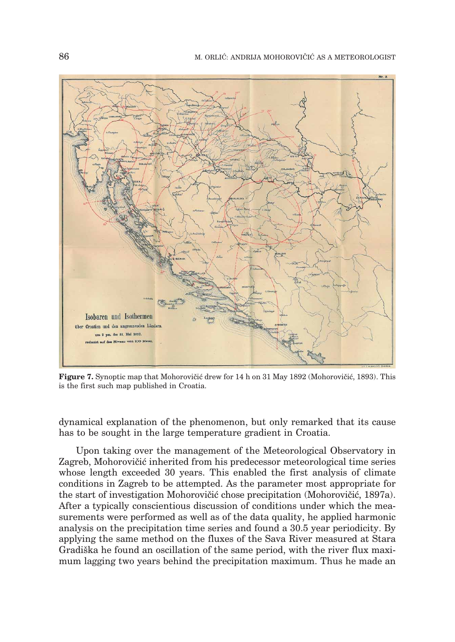

**Figure 7.** Synoptic map that Mohorovičić drew for 14 h on 31 May 1892 (Mohorovičić, 1893). This is the first such map published in Croatia.

dynamical explanation of the phenomenon, but only remarked that its cause has to be sought in the large temperature gradient in Croatia.

Upon taking over the management of the Meteorological Observatory in Zagreb, Mohorovičić inherited from his predecessor meteorological time series whose length exceeded 30 years. This enabled the first analysis of climate conditions in Zagreb to be attempted. As the parameter most appropriate for the start of investigation Mohorovičić chose precipitation (Mohorovičić, 1897a). After a typically conscientious discussion of conditions under which the measurements were performed as well as of the data quality, he applied harmonic analysis on the precipitation time series and found a 30.5 year periodicity. By applying the same method on the fluxes of the Sava River measured at Stara Gradiška he found an oscillation of the same period, with the river flux maximum lagging two years behind the precipitation maximum. Thus he made an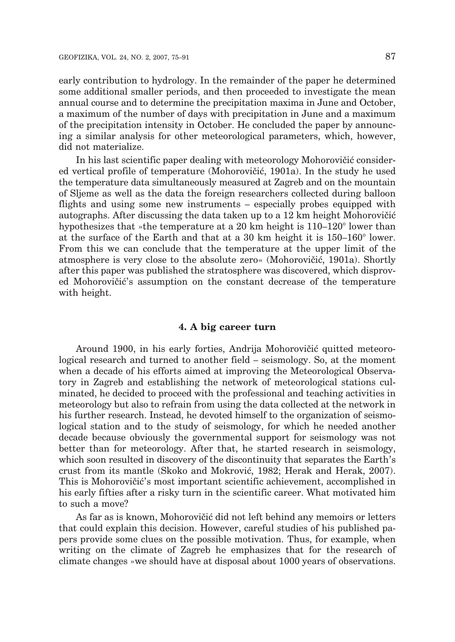early contribution to hydrology. In the remainder of the paper he determined some additional smaller periods, and then proceeded to investigate the mean annual course and to determine the precipitation maxima in June and October, a maximum of the number of days with precipitation in June and a maximum of the precipitation intensity in October. He concluded the paper by announcing a similar analysis for other meteorological parameters, which, however, did not materialize.

In his last scientific paper dealing with meteorology Mohorovičić considered vertical profile of temperature (Mohorovičić, 1901a). In the study he used the temperature data simultaneously measured at Zagreb and on the mountain of Sljeme as well as the data the foreign researchers collected during balloon flights and using some new instruments – especially probes equipped with autographs. After discussing the data taken up to a 12 km height Mohorovičić hypothesizes that »the temperature at a 20 km height is 110–120° lower than at the surface of the Earth and that at a 30 km height it is 150–160° lower. From this we can conclude that the temperature at the upper limit of the atmosphere is very close to the absolute zero« (Mohorovičić, 1901a). Shortly after this paper was published the stratosphere was discovered, which disproved Mohorovičić's assumption on the constant decrease of the temperature with height.

## **4. A big career turn**

Around 1900, in his early forties, Andrija Mohorovičić quitted meteorological research and turned to another field – seismology. So, at the moment when a decade of his efforts aimed at improving the Meteorological Observatory in Zagreb and establishing the network of meteorological stations culminated, he decided to proceed with the professional and teaching activities in meteorology but also to refrain from using the data collected at the network in his further research. Instead, he devoted himself to the organization of seismological station and to the study of seismology, for which he needed another decade because obviously the governmental support for seismology was not better than for meteorology. After that, he started research in seismology, which soon resulted in discovery of the discontinuity that separates the Earth's crust from its mantle (Skoko and Mokrović, 1982; Herak and Herak, 2007). This is Mohorovičić's most important scientific achievement, accomplished in his early fifties after a risky turn in the scientific career. What motivated him to such a move?

As far as is known, Mohorovičić did not left behind any memoirs or letters that could explain this decision. However, careful studies of his published papers provide some clues on the possible motivation. Thus, for example, when writing on the climate of Zagreb he emphasizes that for the research of climate changes »we should have at disposal about 1000 years of observations.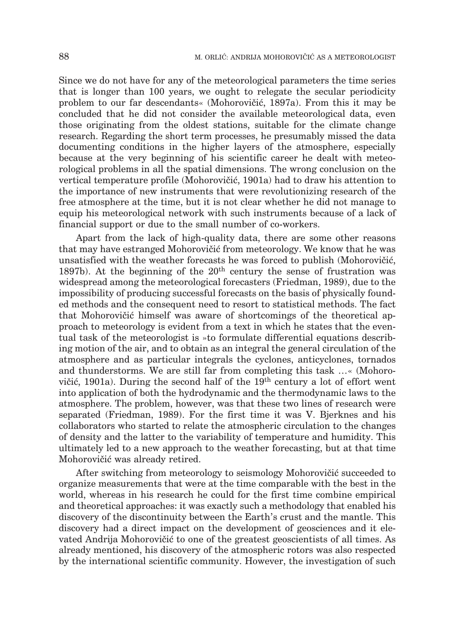Since we do not have for any of the meteorological parameters the time series that is longer than 100 years, we ought to relegate the secular periodicity problem to our far descendants« (Mohorovičić, 1897a). From this it may be concluded that he did not consider the available meteorological data, even those originating from the oldest stations, suitable for the climate change research. Regarding the short term processes, he presumably missed the data documenting conditions in the higher layers of the atmosphere, especially because at the very beginning of his scientific career he dealt with meteorological problems in all the spatial dimensions. The wrong conclusion on the vertical temperature profile (Mohorovičić, 1901a) had to draw his attention to the importance of new instruments that were revolutionizing research of the free atmosphere at the time, but it is not clear whether he did not manage to equip his meteorological network with such instruments because of a lack of financial support or due to the small number of co-workers.

Apart from the lack of high-quality data, there are some other reasons that may have estranged Mohorovičić from meteorology. We know that he was unsatisfied with the weather forecasts he was forced to publish (Mohorovičić, 1897b). At the beginning of the  $20<sup>th</sup>$  century the sense of frustration was widespread among the meteorological forecasters (Friedman, 1989), due to the impossibility of producing successful forecasts on the basis of physically founded methods and the consequent need to resort to statistical methods. The fact that Mohorovičić himself was aware of shortcomings of the theoretical approach to meteorology is evident from a text in which he states that the eventual task of the meteorologist is »to formulate differential equations describing motion of the air, and to obtain as an integral the general circulation of the atmosphere and as particular integrals the cyclones, anticyclones, tornados and thunderstorms. We are still far from completing this task …« (Mohorovičić, 1901a). During the second half of the 19<sup>th</sup> century a lot of effort went into application of both the hydrodynamic and the thermodynamic laws to the atmosphere. The problem, however, was that these two lines of research were separated (Friedman, 1989). For the first time it was V. Bjerknes and his collaborators who started to relate the atmospheric circulation to the changes of density and the latter to the variability of temperature and humidity. This ultimately led to a new approach to the weather forecasting, but at that time Mohorovičić was already retired.

After switching from meteorology to seismology Mohorovičić succeeded to organize measurements that were at the time comparable with the best in the world, whereas in his research he could for the first time combine empirical and theoretical approaches: it was exactly such a methodology that enabled his discovery of the discontinuity between the Earth's crust and the mantle. This discovery had a direct impact on the development of geosciences and it elevated Andrija Mohorovičić to one of the greatest geoscientists of all times. As already mentioned, his discovery of the atmospheric rotors was also respected by the international scientific community. However, the investigation of such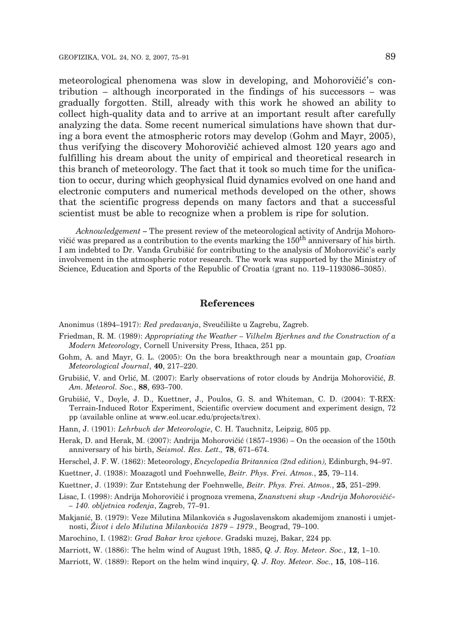meteorological phenomena was slow in developing, and Mohorovičić's contribution – although incorporated in the findings of his successors – was gradually forgotten. Still, already with this work he showed an ability to collect high-quality data and to arrive at an important result after carefully analyzing the data. Some recent numerical simulations have shown that during a bora event the atmospheric rotors may develop (Gohm and Mayr, 2005), thus verifying the discovery Mohorovičić achieved almost 120 years ago and fulfilling his dream about the unity of empirical and theoretical research in this branch of meteorology. The fact that it took so much time for the unification to occur, during which geophysical fluid dynamics evolved on one hand and electronic computers and numerical methods developed on the other, shows that the scientific progress depends on many factors and that a successful scientist must be able to recognize when a problem is ripe for solution.

*Acknowledgement* **–** The present review of the meteorological activity of Andrija Mohorovičić was prepared as a contribution to the events marking the  $150<sup>th</sup>$  anniversary of his birth. I am indebted to Dr. Vanda Grubišić for contributing to the analysis of Mohorovičić's early involvement in the atmospheric rotor research. The work was supported by the Ministry of Science, Education and Sports of the Republic of Croatia (grant no. 119–1193086–3085).

## **References**

Anonimus (1894–1917): *Red predavanja*, Sveučilište u Zagrebu, Zagreb.

- Friedman, R. M. (1989): *Appropriating the Weather Vilhelm Bjerknes and the Construction of a Modern Meteorology*, Cornell University Press, Ithaca, 251 pp.
- Gohm, A. and Mayr, G. L. (2005): On the bora breakthrough near a mountain gap, *Croatian Meteorological Journal*, **40**, 217–220.
- Grubišić, V. and Orlić, M. (2007): Early observations of rotor clouds by Andrija Mohorovičić, *B. Am. Meteorol. Soc.*, **88**, 693–700.
- Grubišić, V., Doyle, J. D., Kuettner, J., Poulos, G. S. and Whiteman, C. D. (2004): T-REX: Terrain-Induced Rotor Experiment, Scientific overview document and experiment design, 72 pp (available online at www.eol.ucar.edu/projects/trex).
- Hann, J. (1901): *Lehrbuch der Meteorologie*, C. H. Tauchnitz, Leipzig, 805 pp.
- Herak, D. and Herak, M. (2007): Andrija Mohorovičić (1857–1936) On the occasion of the 150th anniversary of his birth, *Seismol. Res. Lett.,* **78**, 671–674.
- Herschel, J. F. W. (1862): Meteorology, *Encyclopedia Britannica (2nd edition),* Edinburgh, 94–97.
- Kuettner, J. (1938): Moazagotl und Foehnwelle, *Beitr. Phys. Frei. Atmos.*, **25**, 79–114.
- Kuettner, J. (1939): Zur Entstehung der Foehnwelle, *Beitr. Phys. Frei. Atmos.*, **25**, 251–299.
- Lisac, I. (1998): Andrija Mohorovičić i prognoza vremena, *Znanstveni skup »Andrija Mohorovičić« – 140. obljetnica ro|enja*, Zagreb, 77–91.
- Makjanić, B. (1979): Veze Milutina Milankovića s Jugoslavenskom akademijom znanosti i umjetnosti, *@ivot i delo Milutina Milankovi}a 1879 – 1979.*, Beograd, 79–100.
- Marochino, I. (1982): *Grad Bakar kroz vjekove*. Gradski muzej, Bakar, 224 pp.
- Marriott, W. (1886): The helm wind of August 19th, 1885, *Q. J. Roy. Meteor. Soc.*, **12**, 1–10.
- Marriott, W. (1889): Report on the helm wind inquiry, *Q. J. Roy. Meteor. Soc.*, **15**, 108–116.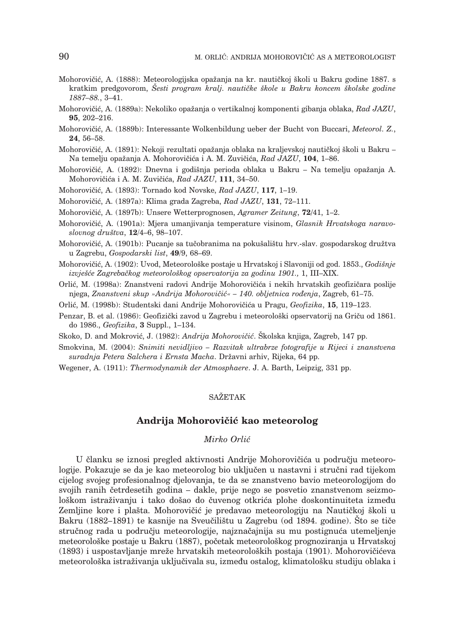- Mohorovičić, A. (1888): Meteorologijska opažanja na kr. nautičkoj školi u Bakru godine 1887. s kratkim predgovorom, *Šesti program kralj. nautičke škole u Bakru koncem školske godine 1887–88.*, 3–41.
- Mohorovi~i}, A. (1889a): Nekoliko opa`anja o vertikalnoj komponenti gibanja oblaka, *Rad JAZU*, **95**, 202–216.
- Mohorovi~i}, A. (1889b): Interessante Wolkenbildung ueber der Bucht von Buccari, *Meteorol. Z.*, **24**, 56–58.
- Mohorovičić, A. (1891): Nekoji rezultati opažanja oblaka na kraljevskoj nautičkoj školi u Bakru Na temelju opažanja A. Mohorovičića i A. M. Zuvičića, *Rad JAZU*, 104, 1–86.
- Mohorovičić, A. (1892): Dnevna i godišnja perioda oblaka u Bakru Na temelju opažanja A. Mohorovičića i A. M. Zuvičića, *Rad JAZU*, 111, 34–50.
- Mohorovi~i}, A. (1893): Tornado kod Novske, *Rad JAZU*, **117**, 1–19.
- Mohorovi~i}, A. (1897a): Klima grada Zagreba, *Rad JAZU*, **131**, 72–111.
- Mohorovi~i}, A. (1897b): Unsere Wetterprognosen, *Agramer Zeitung*, **72/**41, 1–2.
- Mohorovi~i}, A. (1901a): Mjera umanjivanja temperature visinom, *Glasnik Hrvatskoga naravoslovnog dru{tva*, **12**/4–6, 98–107.
- Mohorovičić, A. (1901b): Pucanje sa tučobranima na pokušalištu hrv.-slav. gospodarskog družtva u Zagrebu, *Gospodarski list*, **49**/9, 68–69.
- Mohorovičić, A. (1902): Uvod, Meteorološke postaje u Hrvatskoj i Slavoniji od god. 1853., *Godišnje izvje{}e Zagreba~kog meteorolo{kog opservatorija za godinu 1901.,* 1, III–XIX.
- Orlić, M. (1998a): Znanstveni radovi Andrije Mohorovičića i nekih hrvatskih geofizičara poslije njega, *Znanstveni skup »Andrija Mohorovičić« – 140. obljetnica rođenja*, Zagreb, 61–75.
- Orli}, M. (1998b): Studentski dani Andrije Mohorovi~i}a u Pragu, *Geofizika*, **15**, 119–123.
- Penzar, B. et al. (1986): Geofizički zavod u Zagrebu i meteorološki opservatorij na Griču od 1861. do 1986., *Geofizika*, **3** Suppl., 1–134.

Skoko, D. and Mokrović, J. (1982): *Andrija Mohorovičić*. Školska knjiga, Zagreb, 147 pp.

- Smokvina, M. (2004): *Snimiti nevidljivo Razvitak ultrabrze fotografije u Rijeci i znanstvena*  $suradnja Petera Salchera i Ernsta Macha. Državni arhiv, Rijeka, 64 pp.$
- Wegener, A. (1911): *Thermodynamik der Atmosphaere*. J. A. Barth, Leipzig, 331 pp.

#### **SAŽETAK**

#### Andrija Mohorovičić kao meteorolog

#### *Mirko Orli}*

U članku se iznosi pregled aktivnosti Andrije Mohorovičića u području meteorologije. Pokazuje se da je kao meteorolog bio uključen u nastavni i stručni rad tijekom cijelog svojeg profesionalnog djelovanja, te da se znanstveno bavio meteorologijom do svojih ranih četrdesetih godina – dakle, prije nego se posvetio znanstvenom seizmološkom istraživanju i tako došao do čuvenog otkrića plohe doskontinuiteta između Zemljine kore i plašta. Mohorovičić je predavao meteorologiju na Nautičkoj školi u Bakru (1882–1891) te kasnije na Sveučilištu u Zagrebu (od 1894. godine). Što se tiče stručnog rada u području meteorologije, najznačajnija su mu postignuća utemeljenje meteorološke postaje u Bakru (1887), početak meteorološkog prognoziranja u Hrvatskoj (1893) i uspostavljanje mreže hrvatskih meteoroloških postaja (1901). Mohorovičićeva meteorološka istraživanja uključivala su, između ostalog, klimatološku studiju oblaka i